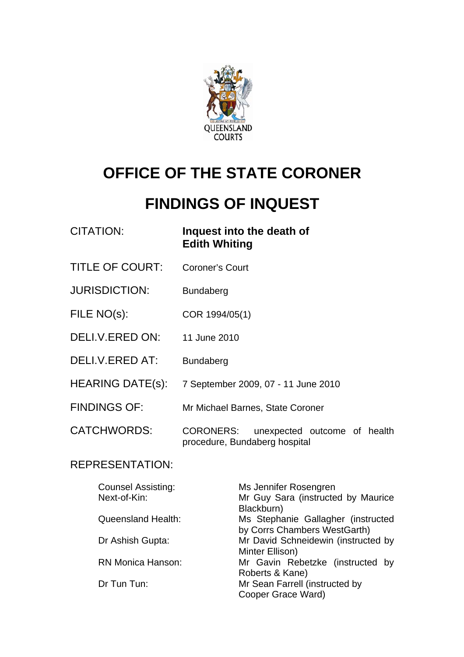

# **OFFICE OF THE STATE CORONER**

# **FINDINGS OF INQUEST**

| <b>CITATION:</b>        | Inquest into the death of<br><b>Edith Whiting</b> |  |  |
|-------------------------|---------------------------------------------------|--|--|
| <b>TITLE OF COURT:</b>  | <b>Coroner's Court</b>                            |  |  |
| <b>JURISDICTION:</b>    | <b>Bundaberg</b>                                  |  |  |
| FILE NO(s):             | COR 1994/05(1)                                    |  |  |
| DELI.V.ERED ON:         | 11 June 2010                                      |  |  |
| DELI.V.ERED AT:         | <b>Bundaberg</b>                                  |  |  |
| <b>HEARING DATE(s):</b> | 7 September 2009, 07 - 11 June 2010               |  |  |
| <b>FINDINGS OF:</b>     | Mr Michael Barnes, State Coroner                  |  |  |
| <b>CATCHWORDS:</b>      | <b>CORONERS:</b><br>unexpected outcome of health  |  |  |

# REPRESENTATION:

| <b>Counsel Assisting:</b> | Ms Jennifer Rosengren               |
|---------------------------|-------------------------------------|
| Next-of-Kin:              | Mr Guy Sara (instructed by Maurice  |
|                           | Blackburn)                          |
| Queensland Health:        | Ms Stephanie Gallagher (instructed  |
|                           | by Corrs Chambers WestGarth)        |
| Dr Ashish Gupta:          | Mr David Schneidewin (instructed by |
|                           | Minter Ellison)                     |
| <b>RN Monica Hanson:</b>  | Mr Gavin Rebetzke (instructed by    |
|                           | Roberts & Kane)                     |
| Dr Tun Tun:               | Mr Sean Farrell (instructed by      |
|                           | Cooper Grace Ward)                  |

procedure, Bundaberg hospital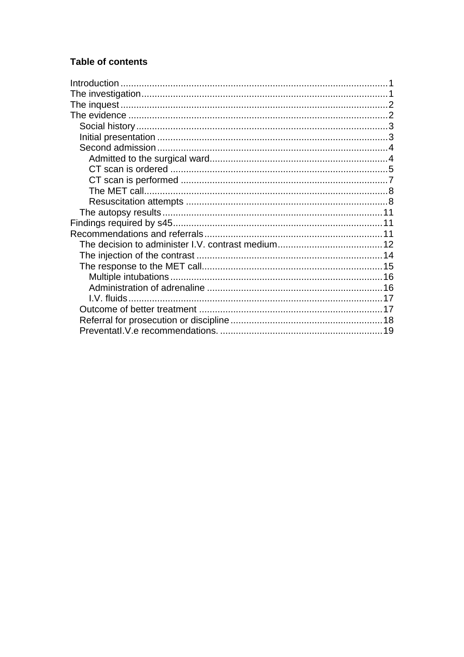# Table of contents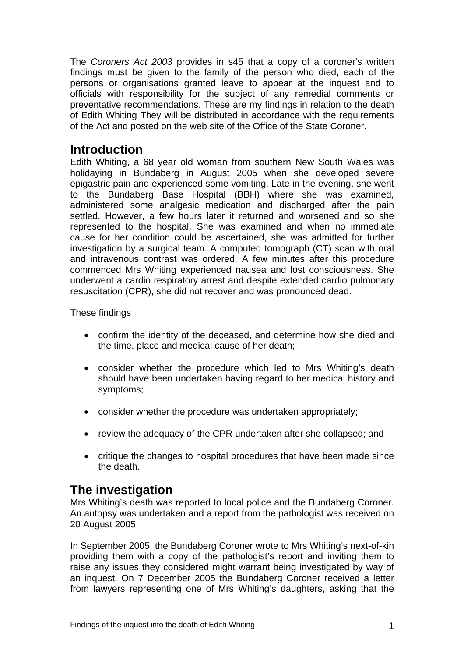<span id="page-2-0"></span>The *Coroners Act 2003* provides in s45 that a copy of a coroner's written findings must be given to the family of the person who died, each of the persons or organisations granted leave to appear at the inquest and to officials with responsibility for the subject of any remedial comments or preventative recommendations. These are my findings in relation to the death of Edith Whiting They will be distributed in accordance with the requirements of the Act and posted on the web site of the Office of the State Coroner.

# **Introduction**

Edith Whiting, a 68 year old woman from southern New South Wales was holidaying in Bundaberg in August 2005 when she developed severe epigastric pain and experienced some vomiting. Late in the evening, she went to the Bundaberg Base Hospital (BBH) where she was examined, administered some analgesic medication and discharged after the pain settled. However, a few hours later it returned and worsened and so she represented to the hospital. She was examined and when no immediate cause for her condition could be ascertained, she was admitted for further investigation by a surgical team. A computed tomograph (CT) scan with oral and intravenous contrast was ordered. A few minutes after this procedure commenced Mrs Whiting experienced nausea and lost consciousness. She underwent a cardio respiratory arrest and despite extended cardio pulmonary resuscitation (CPR), she did not recover and was pronounced dead.

#### These findings

- confirm the identity of the deceased, and determine how she died and the time, place and medical cause of her death;
- consider whether the procedure which led to Mrs Whiting's death should have been undertaken having regard to her medical history and symptoms;
- consider whether the procedure was undertaken appropriately;
- review the adequacy of the CPR undertaken after she collapsed; and
- critique the changes to hospital procedures that have been made since the death.

# **The investigation**

Mrs Whiting's death was reported to local police and the Bundaberg Coroner. An autopsy was undertaken and a report from the pathologist was received on 20 August 2005.

In September 2005, the Bundaberg Coroner wrote to Mrs Whiting's next-of-kin providing them with a copy of the pathologist's report and inviting them to raise any issues they considered might warrant being investigated by way of an inquest. On 7 December 2005 the Bundaberg Coroner received a letter from lawyers representing one of Mrs Whiting's daughters, asking that the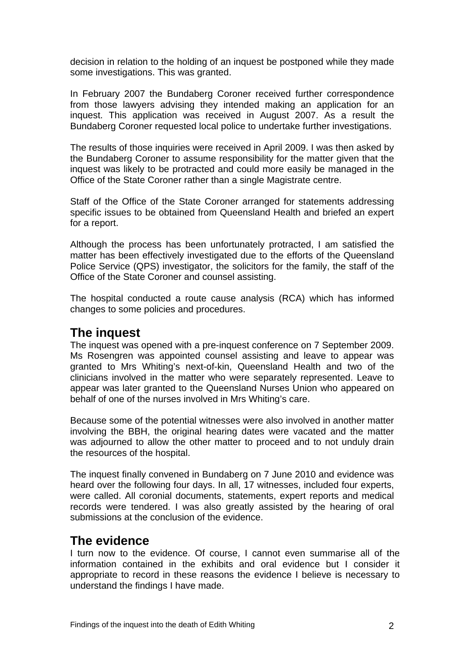<span id="page-3-0"></span>decision in relation to the holding of an inquest be postponed while they made some investigations. This was granted.

In February 2007 the Bundaberg Coroner received further correspondence from those lawyers advising they intended making an application for an inquest. This application was received in August 2007. As a result the Bundaberg Coroner requested local police to undertake further investigations.

The results of those inquiries were received in April 2009. I was then asked by the Bundaberg Coroner to assume responsibility for the matter given that the inquest was likely to be protracted and could more easily be managed in the Office of the State Coroner rather than a single Magistrate centre.

Staff of the Office of the State Coroner arranged for statements addressing specific issues to be obtained from Queensland Health and briefed an expert for a report.

Although the process has been unfortunately protracted, I am satisfied the matter has been effectively investigated due to the efforts of the Queensland Police Service (QPS) investigator, the solicitors for the family, the staff of the Office of the State Coroner and counsel assisting.

The hospital conducted a route cause analysis (RCA) which has informed changes to some policies and procedures.

# **The inquest**

The inquest was opened with a pre-inquest conference on 7 September 2009. Ms Rosengren was appointed counsel assisting and leave to appear was granted to Mrs Whiting's next-of-kin, Queensland Health and two of the clinicians involved in the matter who were separately represented. Leave to appear was later granted to the Queensland Nurses Union who appeared on behalf of one of the nurses involved in Mrs Whiting's care.

Because some of the potential witnesses were also involved in another matter involving the BBH, the original hearing dates were vacated and the matter was adjourned to allow the other matter to proceed and to not unduly drain the resources of the hospital.

The inquest finally convened in Bundaberg on 7 June 2010 and evidence was heard over the following four days. In all, 17 witnesses, included four experts, were called. All coronial documents, statements, expert reports and medical records were tendered. I was also greatly assisted by the hearing of oral submissions at the conclusion of the evidence.

# **The evidence**

I turn now to the evidence. Of course, I cannot even summarise all of the information contained in the exhibits and oral evidence but I consider it appropriate to record in these reasons the evidence I believe is necessary to understand the findings I have made.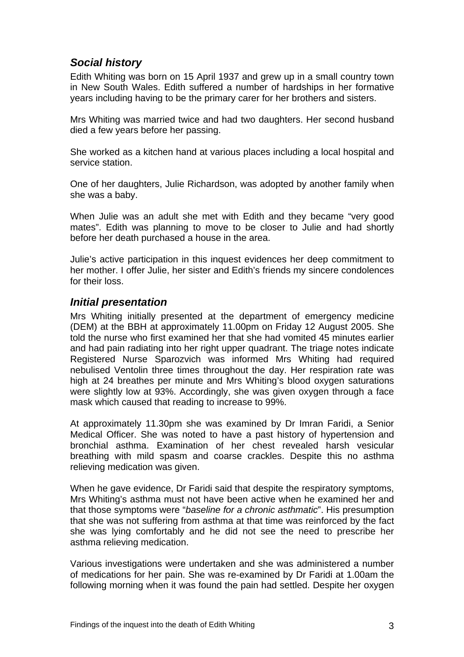# <span id="page-4-0"></span>*Social history*

Edith Whiting was born on 15 April 1937 and grew up in a small country town in New South Wales. Edith suffered a number of hardships in her formative years including having to be the primary carer for her brothers and sisters.

Mrs Whiting was married twice and had two daughters. Her second husband died a few years before her passing.

She worked as a kitchen hand at various places including a local hospital and service station.

One of her daughters, Julie Richardson, was adopted by another family when she was a baby.

When Julie was an adult she met with Edith and they became "very good mates". Edith was planning to move to be closer to Julie and had shortly before her death purchased a house in the area.

Julie's active participation in this inquest evidences her deep commitment to her mother. I offer Julie, her sister and Edith's friends my sincere condolences for their loss.

### *Initial presentation*

Mrs Whiting initially presented at the department of emergency medicine (DEM) at the BBH at approximately 11.00pm on Friday 12 August 2005. She told the nurse who first examined her that she had vomited 45 minutes earlier and had pain radiating into her right upper quadrant. The triage notes indicate Registered Nurse Sparozvich was informed Mrs Whiting had required nebulised Ventolin three times throughout the day. Her respiration rate was high at 24 breathes per minute and Mrs Whiting's blood oxygen saturations were slightly low at 93%. Accordingly, she was given oxygen through a face mask which caused that reading to increase to 99%.

At approximately 11.30pm she was examined by Dr Imran Faridi, a Senior Medical Officer. She was noted to have a past history of hypertension and bronchial asthma. Examination of her chest revealed harsh vesicular breathing with mild spasm and coarse crackles. Despite this no asthma relieving medication was given.

When he gave evidence, Dr Faridi said that despite the respiratory symptoms, Mrs Whiting's asthma must not have been active when he examined her and that those symptoms were "*baseline for a chronic asthmatic*". His presumption that she was not suffering from asthma at that time was reinforced by the fact she was lying comfortably and he did not see the need to prescribe her asthma relieving medication.

Various investigations were undertaken and she was administered a number of medications for her pain. She was re-examined by Dr Faridi at 1.00am the following morning when it was found the pain had settled. Despite her oxygen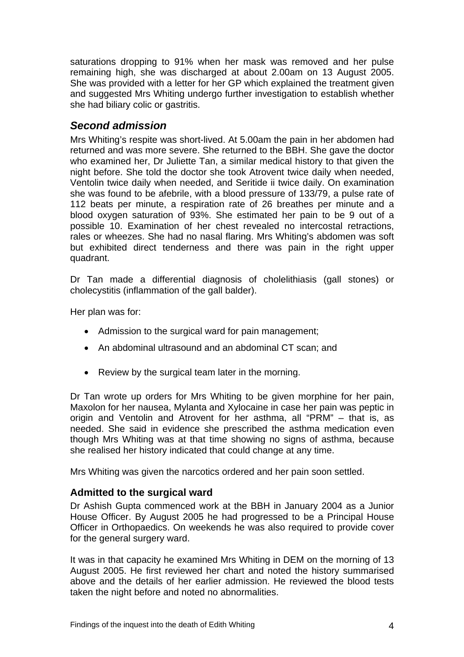<span id="page-5-0"></span>saturations dropping to 91% when her mask was removed and her pulse remaining high, she was discharged at about 2.00am on 13 August 2005. She was provided with a letter for her GP which explained the treatment given and suggested Mrs Whiting undergo further investigation to establish whether she had biliary colic or gastritis.

# *Second admission*

Mrs Whiting's respite was short-lived. At 5.00am the pain in her abdomen had returned and was more severe. She returned to the BBH. She gave the doctor who examined her, Dr Juliette Tan, a similar medical history to that given the night before. She told the doctor she took Atrovent twice daily when needed, Ventolin twice daily when needed, and Seritide ii twice daily. On examination she was found to be afebrile, with a blood pressure of 133/79, a pulse rate of 112 beats per minute, a respiration rate of 26 breathes per minute and a blood oxygen saturation of 93%. She estimated her pain to be 9 out of a possible 10. Examination of her chest revealed no intercostal retractions, rales or wheezes. She had no nasal flaring. Mrs Whiting's abdomen was soft but exhibited direct tenderness and there was pain in the right upper quadrant.

Dr Tan made a differential diagnosis of cholelithiasis (gall stones) or cholecystitis (inflammation of the gall balder).

Her plan was for:

- Admission to the surgical ward for pain management;
- An abdominal ultrasound and an abdominal CT scan; and
- Review by the surgical team later in the morning.

Dr Tan wrote up orders for Mrs Whiting to be given morphine for her pain, Maxolon for her nausea, Mylanta and Xylocaine in case her pain was peptic in origin and Ventolin and Atrovent for her asthma, all "PRM" – that is, as needed. She said in evidence she prescribed the asthma medication even though Mrs Whiting was at that time showing no signs of asthma, because she realised her history indicated that could change at any time.

Mrs Whiting was given the narcotics ordered and her pain soon settled.

# **Admitted to the surgical ward**

Dr Ashish Gupta commenced work at the BBH in January 2004 as a Junior House Officer. By August 2005 he had progressed to be a Principal House Officer in Orthopaedics. On weekends he was also required to provide cover for the general surgery ward.

It was in that capacity he examined Mrs Whiting in DEM on the morning of 13 August 2005. He first reviewed her chart and noted the history summarised above and the details of her earlier admission. He reviewed the blood tests taken the night before and noted no abnormalities.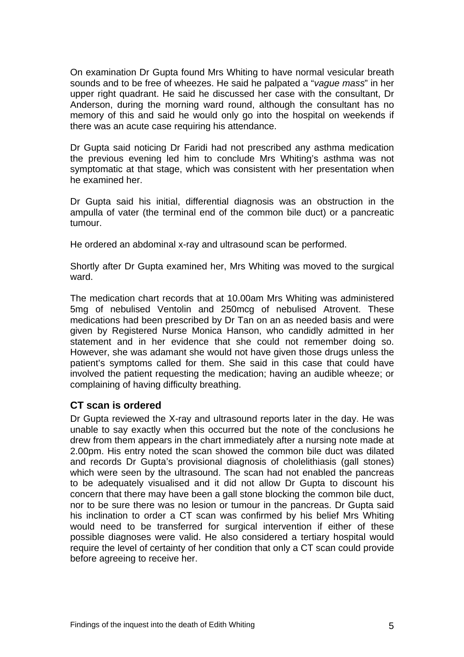<span id="page-6-0"></span>On examination Dr Gupta found Mrs Whiting to have normal vesicular breath sounds and to be free of wheezes. He said he palpated a "*vague mass*" in her upper right quadrant. He said he discussed her case with the consultant, Dr Anderson, during the morning ward round, although the consultant has no memory of this and said he would only go into the hospital on weekends if there was an acute case requiring his attendance.

Dr Gupta said noticing Dr Faridi had not prescribed any asthma medication the previous evening led him to conclude Mrs Whiting's asthma was not symptomatic at that stage, which was consistent with her presentation when he examined her.

Dr Gupta said his initial, differential diagnosis was an obstruction in the ampulla of vater (the terminal end of the common bile duct) or a pancreatic tumour.

He ordered an abdominal x-ray and ultrasound scan be performed.

Shortly after Dr Gupta examined her, Mrs Whiting was moved to the surgical ward.

The medication chart records that at 10.00am Mrs Whiting was administered 5mg of nebulised Ventolin and 250mcg of nebulised Atrovent. These medications had been prescribed by Dr Tan on an as needed basis and were given by Registered Nurse Monica Hanson, who candidly admitted in her statement and in her evidence that she could not remember doing so. However, she was adamant she would not have given those drugs unless the patient's symptoms called for them. She said in this case that could have involved the patient requesting the medication; having an audible wheeze; or complaining of having difficulty breathing.

# **CT scan is ordered**

Dr Gupta reviewed the X-ray and ultrasound reports later in the day. He was unable to say exactly when this occurred but the note of the conclusions he drew from them appears in the chart immediately after a nursing note made at 2.00pm. His entry noted the scan showed the common bile duct was dilated and records Dr Gupta's provisional diagnosis of cholelithiasis (gall stones) which were seen by the ultrasound. The scan had not enabled the pancreas to be adequately visualised and it did not allow Dr Gupta to discount his concern that there may have been a gall stone blocking the common bile duct, nor to be sure there was no lesion or tumour in the pancreas. Dr Gupta said his inclination to order a CT scan was confirmed by his belief Mrs Whiting would need to be transferred for surgical intervention if either of these possible diagnoses were valid. He also considered a tertiary hospital would require the level of certainty of her condition that only a CT scan could provide before agreeing to receive her.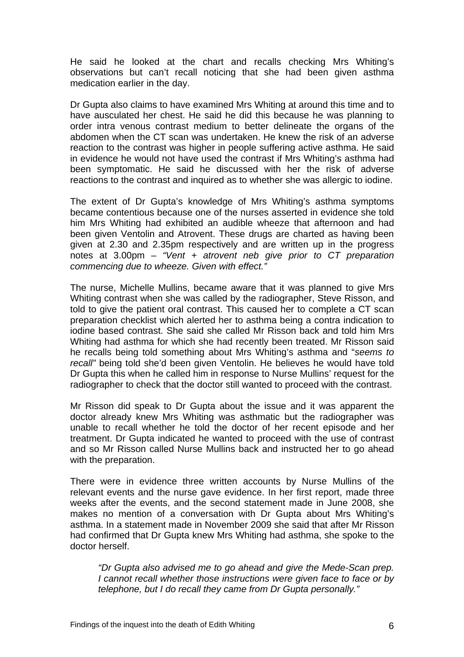He said he looked at the chart and recalls checking Mrs Whiting's observations but can't recall noticing that she had been given asthma medication earlier in the day.

Dr Gupta also claims to have examined Mrs Whiting at around this time and to have ausculated her chest. He said he did this because he was planning to order intra venous contrast medium to better delineate the organs of the abdomen when the CT scan was undertaken. He knew the risk of an adverse reaction to the contrast was higher in people suffering active asthma. He said in evidence he would not have used the contrast if Mrs Whiting's asthma had been symptomatic. He said he discussed with her the risk of adverse reactions to the contrast and inquired as to whether she was allergic to iodine.

The extent of Dr Gupta's knowledge of Mrs Whiting's asthma symptoms became contentious because one of the nurses asserted in evidence she told him Mrs Whiting had exhibited an audible wheeze that afternoon and had been given Ventolin and Atrovent. These drugs are charted as having been given at 2.30 and 2.35pm respectively and are written up in the progress notes at 3.00pm – *"Vent + atrovent neb give prior to CT preparation commencing due to wheeze. Given with effect."*

The nurse, Michelle Mullins, became aware that it was planned to give Mrs Whiting contrast when she was called by the radiographer, Steve Risson, and told to give the patient oral contrast. This caused her to complete a CT scan preparation checklist which alerted her to asthma being a contra indication to iodine based contrast. She said she called Mr Risson back and told him Mrs Whiting had asthma for which she had recently been treated. Mr Risson said he recalls being told something about Mrs Whiting's asthma and "*seems to recall"* being told she'd been given Ventolin. He believes he would have told Dr Gupta this when he called him in response to Nurse Mullins' request for the radiographer to check that the doctor still wanted to proceed with the contrast.

Mr Risson did speak to Dr Gupta about the issue and it was apparent the doctor already knew Mrs Whiting was asthmatic but the radiographer was unable to recall whether he told the doctor of her recent episode and her treatment. Dr Gupta indicated he wanted to proceed with the use of contrast and so Mr Risson called Nurse Mullins back and instructed her to go ahead with the preparation.

There were in evidence three written accounts by Nurse Mullins of the relevant events and the nurse gave evidence. In her first report, made three weeks after the events, and the second statement made in June 2008, she makes no mention of a conversation with Dr Gupta about Mrs Whiting's asthma. In a statement made in November 2009 she said that after Mr Risson had confirmed that Dr Gupta knew Mrs Whiting had asthma, she spoke to the doctor herself.

*"Dr Gupta also advised me to go ahead and give the Mede-Scan prep. I cannot recall whether those instructions were given face to face or by telephone, but I do recall they came from Dr Gupta personally."*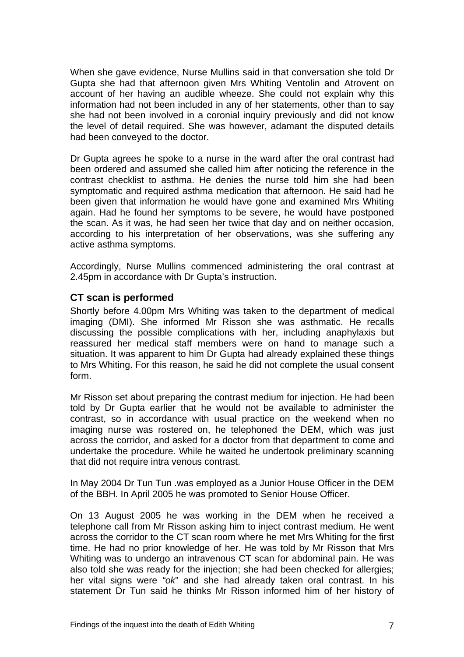<span id="page-8-0"></span>When she gave evidence, Nurse Mullins said in that conversation she told Dr Gupta she had that afternoon given Mrs Whiting Ventolin and Atrovent on account of her having an audible wheeze. She could not explain why this information had not been included in any of her statements, other than to say she had not been involved in a coronial inquiry previously and did not know the level of detail required. She was however, adamant the disputed details had been conveyed to the doctor.

Dr Gupta agrees he spoke to a nurse in the ward after the oral contrast had been ordered and assumed she called him after noticing the reference in the contrast checklist to asthma. He denies the nurse told him she had been symptomatic and required asthma medication that afternoon. He said had he been given that information he would have gone and examined Mrs Whiting again. Had he found her symptoms to be severe, he would have postponed the scan. As it was, he had seen her twice that day and on neither occasion, according to his interpretation of her observations, was she suffering any active asthma symptoms.

Accordingly, Nurse Mullins commenced administering the oral contrast at 2.45pm in accordance with Dr Gupta's instruction.

#### **CT scan is performed**

Shortly before 4.00pm Mrs Whiting was taken to the department of medical imaging (DMI). She informed Mr Risson she was asthmatic. He recalls discussing the possible complications with her, including anaphylaxis but reassured her medical staff members were on hand to manage such a situation. It was apparent to him Dr Gupta had already explained these things to Mrs Whiting. For this reason, he said he did not complete the usual consent form.

Mr Risson set about preparing the contrast medium for injection. He had been told by Dr Gupta earlier that he would not be available to administer the contrast, so in accordance with usual practice on the weekend when no imaging nurse was rostered on, he telephoned the DEM, which was just across the corridor, and asked for a doctor from that department to come and undertake the procedure. While he waited he undertook preliminary scanning that did not require intra venous contrast.

In May 2004 Dr Tun Tun .was employed as a Junior House Officer in the DEM of the BBH. In April 2005 he was promoted to Senior House Officer.

On 13 August 2005 he was working in the DEM when he received a telephone call from Mr Risson asking him to inject contrast medium. He went across the corridor to the CT scan room where he met Mrs Whiting for the first time. He had no prior knowledge of her. He was told by Mr Risson that Mrs Whiting was to undergo an intravenous CT scan for abdominal pain. He was also told she was ready for the injection; she had been checked for allergies; her vital signs were *"ok*" and she had already taken oral contrast. In his statement Dr Tun said he thinks Mr Risson informed him of her history of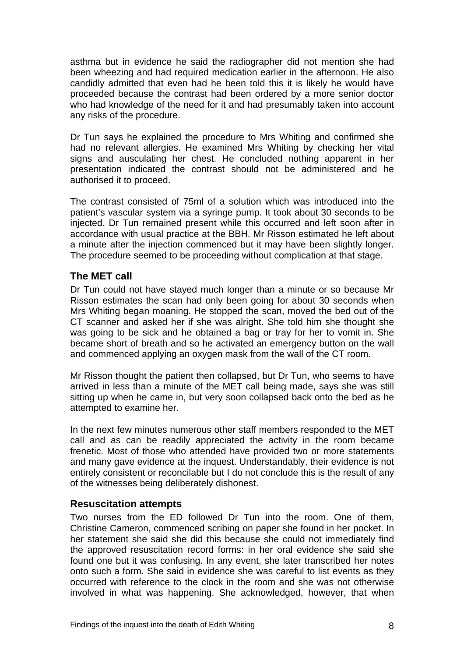<span id="page-9-0"></span>asthma but in evidence he said the radiographer did not mention she had been wheezing and had required medication earlier in the afternoon. He also candidly admitted that even had he been told this it is likely he would have proceeded because the contrast had been ordered by a more senior doctor who had knowledge of the need for it and had presumably taken into account any risks of the procedure.

Dr Tun says he explained the procedure to Mrs Whiting and confirmed she had no relevant allergies. He examined Mrs Whiting by checking her vital signs and ausculating her chest. He concluded nothing apparent in her presentation indicated the contrast should not be administered and he authorised it to proceed.

The contrast consisted of 75ml of a solution which was introduced into the patient's vascular system via a syringe pump. It took about 30 seconds to be injected. Dr Tun remained present while this occurred and left soon after in accordance with usual practice at the BBH. Mr Risson estimated he left about a minute after the injection commenced but it may have been slightly longer. The procedure seemed to be proceeding without complication at that stage.

#### **The MET call**

Dr Tun could not have stayed much longer than a minute or so because Mr Risson estimates the scan had only been going for about 30 seconds when Mrs Whiting began moaning. He stopped the scan, moved the bed out of the CT scanner and asked her if she was alright. She told him she thought she was going to be sick and he obtained a bag or tray for her to vomit in. She became short of breath and so he activated an emergency button on the wall and commenced applying an oxygen mask from the wall of the CT room.

Mr Risson thought the patient then collapsed, but Dr Tun, who seems to have arrived in less than a minute of the MET call being made, says she was still sitting up when he came in, but very soon collapsed back onto the bed as he attempted to examine her.

In the next few minutes numerous other staff members responded to the MET call and as can be readily appreciated the activity in the room became frenetic. Most of those who attended have provided two or more statements and many gave evidence at the inquest. Understandably, their evidence is not entirely consistent or reconcilable but I do not conclude this is the result of any of the witnesses being deliberately dishonest.

#### **Resuscitation attempts**

Two nurses from the ED followed Dr Tun into the room. One of them, Christine Cameron, commenced scribing on paper she found in her pocket. In her statement she said she did this because she could not immediately find the approved resuscitation record forms: in her oral evidence she said she found one but it was confusing. In any event, she later transcribed her notes onto such a form. She said in evidence she was careful to list events as they occurred with reference to the clock in the room and she was not otherwise involved in what was happening. She acknowledged, however, that when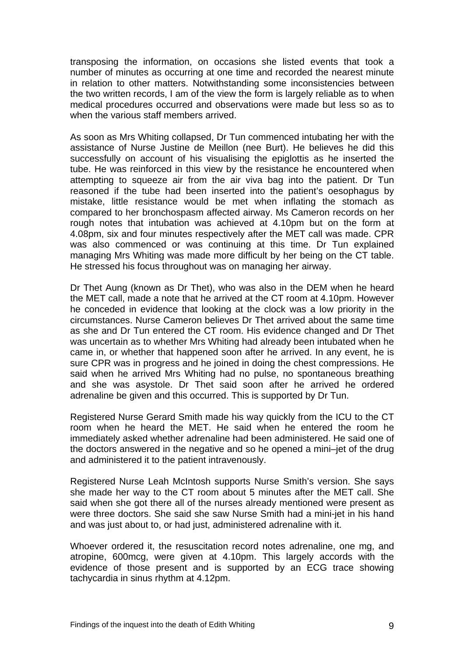transposing the information, on occasions she listed events that took a number of minutes as occurring at one time and recorded the nearest minute in relation to other matters. Notwithstanding some inconsistencies between the two written records, I am of the view the form is largely reliable as to when medical procedures occurred and observations were made but less so as to when the various staff members arrived.

As soon as Mrs Whiting collapsed, Dr Tun commenced intubating her with the assistance of Nurse Justine de Meillon (nee Burt). He believes he did this successfully on account of his visualising the epiglottis as he inserted the tube. He was reinforced in this view by the resistance he encountered when attempting to squeeze air from the air viva bag into the patient. Dr Tun reasoned if the tube had been inserted into the patient's oesophagus by mistake, little resistance would be met when inflating the stomach as compared to her bronchospasm affected airway. Ms Cameron records on her rough notes that intubation was achieved at 4.10pm but on the form at 4.08pm, six and four minutes respectively after the MET call was made. CPR was also commenced or was continuing at this time. Dr Tun explained managing Mrs Whiting was made more difficult by her being on the CT table. He stressed his focus throughout was on managing her airway.

Dr Thet Aung (known as Dr Thet), who was also in the DEM when he heard the MET call, made a note that he arrived at the CT room at 4.10pm. However he conceded in evidence that looking at the clock was a low priority in the circumstances. Nurse Cameron believes Dr Thet arrived about the same time as she and Dr Tun entered the CT room. His evidence changed and Dr Thet was uncertain as to whether Mrs Whiting had already been intubated when he came in, or whether that happened soon after he arrived. In any event, he is sure CPR was in progress and he joined in doing the chest compressions. He said when he arrived Mrs Whiting had no pulse, no spontaneous breathing and she was asystole. Dr Thet said soon after he arrived he ordered adrenaline be given and this occurred. This is supported by Dr Tun.

Registered Nurse Gerard Smith made his way quickly from the ICU to the CT room when he heard the MET. He said when he entered the room he immediately asked whether adrenaline had been administered. He said one of the doctors answered in the negative and so he opened a mini–jet of the drug and administered it to the patient intravenously.

Registered Nurse Leah McIntosh supports Nurse Smith's version. She says she made her way to the CT room about 5 minutes after the MET call. She said when she got there all of the nurses already mentioned were present as were three doctors. She said she saw Nurse Smith had a mini-jet in his hand and was just about to, or had just, administered adrenaline with it.

Whoever ordered it, the resuscitation record notes adrenaline, one mg, and atropine, 600mcg, were given at 4.10pm. This largely accords with the evidence of those present and is supported by an ECG trace showing tachycardia in sinus rhythm at 4.12pm.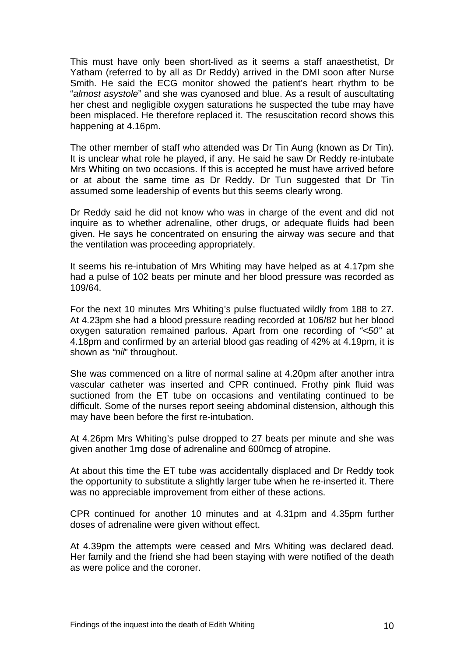This must have only been short-lived as it seems a staff anaesthetist, Dr Yatham (referred to by all as Dr Reddy) arrived in the DMI soon after Nurse Smith. He said the ECG monitor showed the patient's heart rhythm to be "*almost asystole*" and she was cyanosed and blue. As a result of auscultating her chest and negligible oxygen saturations he suspected the tube may have been misplaced. He therefore replaced it. The resuscitation record shows this happening at 4.16pm.

The other member of staff who attended was Dr Tin Aung (known as Dr Tin). It is unclear what role he played, if any. He said he saw Dr Reddy re-intubate Mrs Whiting on two occasions. If this is accepted he must have arrived before or at about the same time as Dr Reddy. Dr Tun suggested that Dr Tin assumed some leadership of events but this seems clearly wrong.

Dr Reddy said he did not know who was in charge of the event and did not inquire as to whether adrenaline, other drugs, or adequate fluids had been given. He says he concentrated on ensuring the airway was secure and that the ventilation was proceeding appropriately.

It seems his re-intubation of Mrs Whiting may have helped as at 4.17pm she had a pulse of 102 beats per minute and her blood pressure was recorded as 109/64.

For the next 10 minutes Mrs Whiting's pulse fluctuated wildly from 188 to 27. At 4.23pm she had a blood pressure reading recorded at 106/82 but her blood oxygen saturation remained parlous. Apart from one recording of *"<50"* at 4.18pm and confirmed by an arterial blood gas reading of 42% at 4.19pm, it is shown as *"nil*" throughout.

She was commenced on a litre of normal saline at 4.20pm after another intra vascular catheter was inserted and CPR continued. Frothy pink fluid was suctioned from the ET tube on occasions and ventilating continued to be difficult. Some of the nurses report seeing abdominal distension, although this may have been before the first re-intubation.

At 4.26pm Mrs Whiting's pulse dropped to 27 beats per minute and she was given another 1mg dose of adrenaline and 600mcg of atropine.

At about this time the ET tube was accidentally displaced and Dr Reddy took the opportunity to substitute a slightly larger tube when he re-inserted it. There was no appreciable improvement from either of these actions.

CPR continued for another 10 minutes and at 4.31pm and 4.35pm further doses of adrenaline were given without effect.

At 4.39pm the attempts were ceased and Mrs Whiting was declared dead. Her family and the friend she had been staying with were notified of the death as were police and the coroner.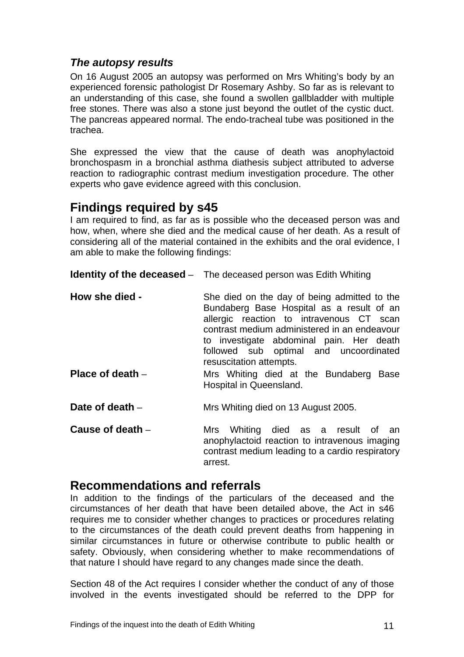# <span id="page-12-0"></span>*The autopsy results*

On 16 August 2005 an autopsy was performed on Mrs Whiting's body by an experienced forensic pathologist Dr Rosemary Ashby. So far as is relevant to an understanding of this case, she found a swollen gallbladder with multiple free stones. There was also a stone just beyond the outlet of the cystic duct. The pancreas appeared normal. The endo-tracheal tube was positioned in the trachea.

She expressed the view that the cause of death was anophylactoid bronchospasm in a bronchial asthma diathesis subject attributed to adverse reaction to radiographic contrast medium investigation procedure. The other experts who gave evidence agreed with this conclusion.

# **Findings required by s45**

I am required to find, as far as is possible who the deceased person was and how, when, where she died and the medical cause of her death. As a result of considering all of the material contained in the exhibits and the oral evidence, I am able to make the following findings:

**Identity of the deceased** – The deceased person was Edith Whiting

- **How she died -** She died on the day of being admitted to the Bundaberg Base Hospital as a result of an allergic reaction to intravenous CT scan contrast medium administered in an endeavour to investigate abdominal pain. Her death followed sub optimal and uncoordinated resuscitation attempts. **Place of death** – Mrs Whiting died at the Bundaberg Base
- Hospital in Queensland.
- **Date of death** Mrs Whiting died on 13 August 2005.
- **Cause of death** Mrs Whiting died as a result of an anophylactoid reaction to intravenous imaging contrast medium leading to a cardio respiratory arrest.

# **Recommendations and referrals**

In addition to the findings of the particulars of the deceased and the circumstances of her death that have been detailed above, the Act in s46 requires me to consider whether changes to practices or procedures relating to the circumstances of the death could prevent deaths from happening in similar circumstances in future or otherwise contribute to public health or safety. Obviously, when considering whether to make recommendations of that nature I should have regard to any changes made since the death.

Section 48 of the Act requires I consider whether the conduct of any of those involved in the events investigated should be referred to the DPP for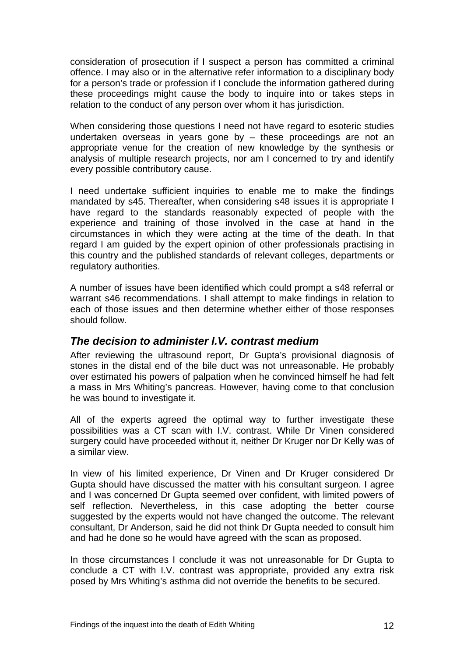<span id="page-13-0"></span>consideration of prosecution if I suspect a person has committed a criminal offence. I may also or in the alternative refer information to a disciplinary body for a person's trade or profession if I conclude the information gathered during these proceedings might cause the body to inquire into or takes steps in relation to the conduct of any person over whom it has jurisdiction.

When considering those questions I need not have regard to esoteric studies undertaken overseas in years gone by – these proceedings are not an appropriate venue for the creation of new knowledge by the synthesis or analysis of multiple research projects, nor am I concerned to try and identify every possible contributory cause.

I need undertake sufficient inquiries to enable me to make the findings mandated by s45. Thereafter, when considering s48 issues it is appropriate I have regard to the standards reasonably expected of people with the experience and training of those involved in the case at hand in the circumstances in which they were acting at the time of the death. In that regard I am guided by the expert opinion of other professionals practising in this country and the published standards of relevant colleges, departments or regulatory authorities.

A number of issues have been identified which could prompt a s48 referral or warrant s46 recommendations. I shall attempt to make findings in relation to each of those issues and then determine whether either of those responses should follow.

# *The decision to administer I.V. contrast medium*

After reviewing the ultrasound report, Dr Gupta's provisional diagnosis of stones in the distal end of the bile duct was not unreasonable. He probably over estimated his powers of palpation when he convinced himself he had felt a mass in Mrs Whiting's pancreas. However, having come to that conclusion he was bound to investigate it.

All of the experts agreed the optimal way to further investigate these possibilities was a CT scan with I.V. contrast. While Dr Vinen considered surgery could have proceeded without it, neither Dr Kruger nor Dr Kelly was of a similar view.

In view of his limited experience, Dr Vinen and Dr Kruger considered Dr Gupta should have discussed the matter with his consultant surgeon. I agree and I was concerned Dr Gupta seemed over confident, with limited powers of self reflection. Nevertheless, in this case adopting the better course suggested by the experts would not have changed the outcome. The relevant consultant, Dr Anderson, said he did not think Dr Gupta needed to consult him and had he done so he would have agreed with the scan as proposed.

In those circumstances I conclude it was not unreasonable for Dr Gupta to conclude a CT with I.V. contrast was appropriate, provided any extra risk posed by Mrs Whiting's asthma did not override the benefits to be secured.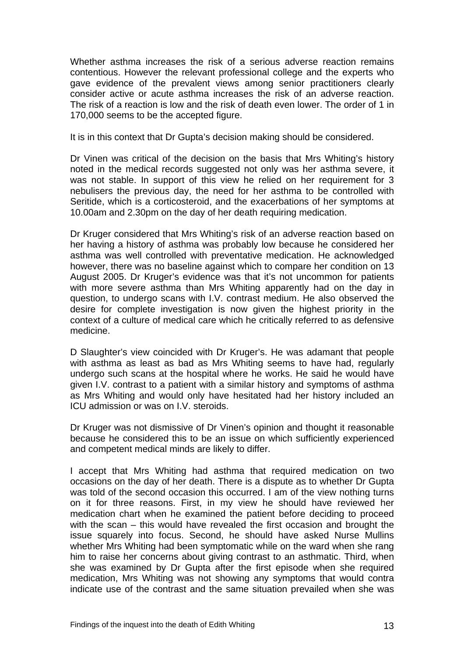Whether asthma increases the risk of a serious adverse reaction remains contentious. However the relevant professional college and the experts who gave evidence of the prevalent views among senior practitioners clearly consider active or acute asthma increases the risk of an adverse reaction. The risk of a reaction is low and the risk of death even lower. The order of 1 in 170,000 seems to be the accepted figure.

It is in this context that Dr Gupta's decision making should be considered.

Dr Vinen was critical of the decision on the basis that Mrs Whiting's history noted in the medical records suggested not only was her asthma severe, it was not stable. In support of this view he relied on her requirement for 3 nebulisers the previous day, the need for her asthma to be controlled with Seritide, which is a corticosteroid, and the exacerbations of her symptoms at 10.00am and 2.30pm on the day of her death requiring medication.

Dr Kruger considered that Mrs Whiting's risk of an adverse reaction based on her having a history of asthma was probably low because he considered her asthma was well controlled with preventative medication. He acknowledged however, there was no baseline against which to compare her condition on 13 August 2005. Dr Kruger's evidence was that it's not uncommon for patients with more severe asthma than Mrs Whiting apparently had on the day in question, to undergo scans with I.V. contrast medium. He also observed the desire for complete investigation is now given the highest priority in the context of a culture of medical care which he critically referred to as defensive medicine.

D Slaughter's view coincided with Dr Kruger's. He was adamant that people with asthma as least as bad as Mrs Whiting seems to have had, regularly undergo such scans at the hospital where he works. He said he would have given I.V. contrast to a patient with a similar history and symptoms of asthma as Mrs Whiting and would only have hesitated had her history included an ICU admission or was on I.V. steroids.

Dr Kruger was not dismissive of Dr Vinen's opinion and thought it reasonable because he considered this to be an issue on which sufficiently experienced and competent medical minds are likely to differ.

I accept that Mrs Whiting had asthma that required medication on two occasions on the day of her death. There is a dispute as to whether Dr Gupta was told of the second occasion this occurred. I am of the view nothing turns on it for three reasons. First, in my view he should have reviewed her medication chart when he examined the patient before deciding to proceed with the scan – this would have revealed the first occasion and brought the issue squarely into focus. Second, he should have asked Nurse Mullins whether Mrs Whiting had been symptomatic while on the ward when she rang him to raise her concerns about giving contrast to an asthmatic. Third, when she was examined by Dr Gupta after the first episode when she required medication, Mrs Whiting was not showing any symptoms that would contra indicate use of the contrast and the same situation prevailed when she was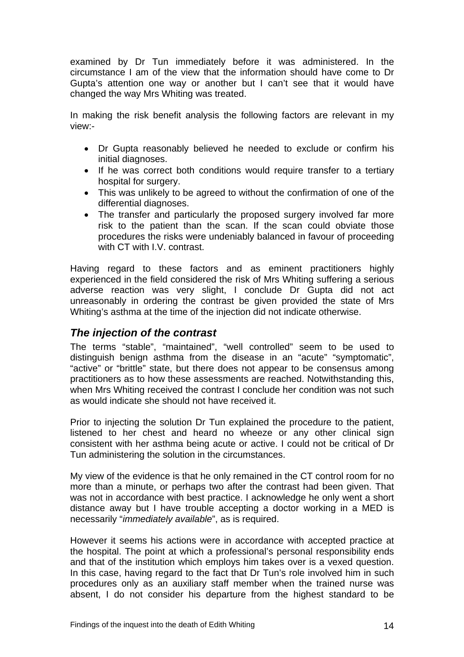<span id="page-15-0"></span>examined by Dr Tun immediately before it was administered. In the circumstance I am of the view that the information should have come to Dr Gupta's attention one way or another but I can't see that it would have changed the way Mrs Whiting was treated.

In making the risk benefit analysis the following factors are relevant in my view:-

- Dr Gupta reasonably believed he needed to exclude or confirm his initial diagnoses.
- If he was correct both conditions would require transfer to a tertiary hospital for surgery.
- This was unlikely to be agreed to without the confirmation of one of the differential diagnoses.
- The transfer and particularly the proposed surgery involved far more risk to the patient than the scan. If the scan could obviate those procedures the risks were undeniably balanced in favour of proceeding with CT with I.V. contrast.

Having regard to these factors and as eminent practitioners highly experienced in the field considered the risk of Mrs Whiting suffering a serious adverse reaction was very slight, I conclude Dr Gupta did not act unreasonably in ordering the contrast be given provided the state of Mrs Whiting's asthma at the time of the injection did not indicate otherwise.

# *The injection of the contrast*

The terms "stable", "maintained", "well controlled" seem to be used to distinguish benign asthma from the disease in an "acute" "symptomatic", "active" or "brittle" state, but there does not appear to be consensus among practitioners as to how these assessments are reached. Notwithstanding this, when Mrs Whiting received the contrast I conclude her condition was not such as would indicate she should not have received it.

Prior to injecting the solution Dr Tun explained the procedure to the patient, listened to her chest and heard no wheeze or any other clinical sign consistent with her asthma being acute or active. I could not be critical of Dr Tun administering the solution in the circumstances.

My view of the evidence is that he only remained in the CT control room for no more than a minute, or perhaps two after the contrast had been given. That was not in accordance with best practice. I acknowledge he only went a short distance away but I have trouble accepting a doctor working in a MED is necessarily "*immediately available*", as is required.

However it seems his actions were in accordance with accepted practice at the hospital. The point at which a professional's personal responsibility ends and that of the institution which employs him takes over is a vexed question. In this case, having regard to the fact that Dr Tun's role involved him in such procedures only as an auxiliary staff member when the trained nurse was absent, I do not consider his departure from the highest standard to be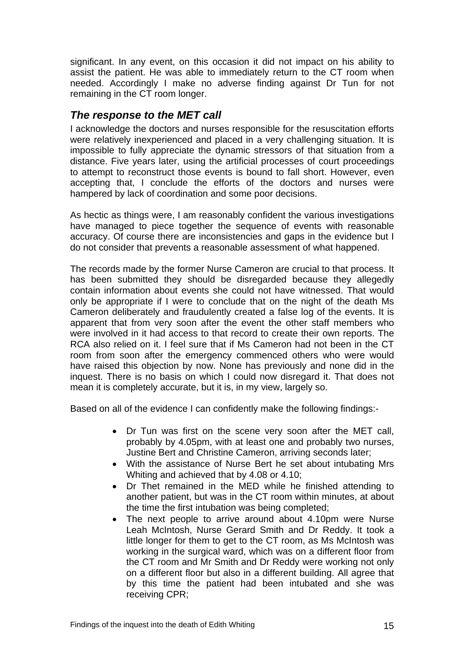<span id="page-16-0"></span>significant. In any event, on this occasion it did not impact on his ability to assist the patient. He was able to immediately return to the CT room when needed. Accordingly I make no adverse finding against Dr Tun for not remaining in the CT room longer.

# *The response to the MET call*

I acknowledge the doctors and nurses responsible for the resuscitation efforts were relatively inexperienced and placed in a very challenging situation. It is impossible to fully appreciate the dynamic stressors of that situation from a distance. Five years later, using the artificial processes of court proceedings to attempt to reconstruct those events is bound to fall short. However, even accepting that, I conclude the efforts of the doctors and nurses were hampered by lack of coordination and some poor decisions.

As hectic as things were, I am reasonably confident the various investigations have managed to piece together the sequence of events with reasonable accuracy. Of course there are inconsistencies and gaps in the evidence but I do not consider that prevents a reasonable assessment of what happened.

The records made by the former Nurse Cameron are crucial to that process. It has been submitted they should be disregarded because they allegedly contain information about events she could not have witnessed. That would only be appropriate if I were to conclude that on the night of the death Ms Cameron deliberately and fraudulently created a false log of the events. It is apparent that from very soon after the event the other staff members who were involved in it had access to that record to create their own reports. The RCA also relied on it. I feel sure that if Ms Cameron had not been in the CT room from soon after the emergency commenced others who were would have raised this objection by now. None has previously and none did in the inquest. There is no basis on which I could now disregard it. That does not mean it is completely accurate, but it is, in my view, largely so.

Based on all of the evidence I can confidently make the following findings:-

- Dr Tun was first on the scene very soon after the MET call, probably by 4.05pm, with at least one and probably two nurses, Justine Bert and Christine Cameron, arriving seconds later;
- With the assistance of Nurse Bert he set about intubating Mrs Whiting and achieved that by 4.08 or 4.10;
- Dr Thet remained in the MED while he finished attending to another patient, but was in the CT room within minutes, at about the time the first intubation was being completed;
- The next people to arrive around about 4.10pm were Nurse Leah McIntosh, Nurse Gerard Smith and Dr Reddy. It took a little longer for them to get to the CT room, as Ms McIntosh was working in the surgical ward, which was on a different floor from the CT room and Mr Smith and Dr Reddy were working not only on a different floor but also in a different building. All agree that by this time the patient had been intubated and she was receiving CPR;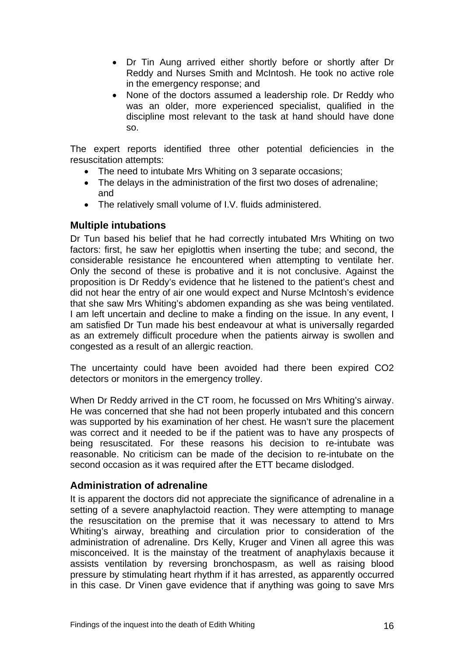- <span id="page-17-0"></span>• Dr Tin Aung arrived either shortly before or shortly after Dr Reddy and Nurses Smith and McIntosh. He took no active role in the emergency response; and
- None of the doctors assumed a leadership role. Dr Reddy who was an older, more experienced specialist, qualified in the discipline most relevant to the task at hand should have done so.

The expert reports identified three other potential deficiencies in the resuscitation attempts:

- The need to intubate Mrs Whiting on 3 separate occasions;
- The delays in the administration of the first two doses of adrenaline; and
- The relatively small volume of I.V. fluids administered.

#### **Multiple intubations**

Dr Tun based his belief that he had correctly intubated Mrs Whiting on two factors: first, he saw her epiglottis when inserting the tube; and second, the considerable resistance he encountered when attempting to ventilate her. Only the second of these is probative and it is not conclusive. Against the proposition is Dr Reddy's evidence that he listened to the patient's chest and did not hear the entry of air one would expect and Nurse McIntosh's evidence that she saw Mrs Whiting's abdomen expanding as she was being ventilated. I am left uncertain and decline to make a finding on the issue. In any event, I am satisfied Dr Tun made his best endeavour at what is universally regarded as an extremely difficult procedure when the patients airway is swollen and congested as a result of an allergic reaction.

The uncertainty could have been avoided had there been expired CO2 detectors or monitors in the emergency trolley.

When Dr Reddy arrived in the CT room, he focussed on Mrs Whiting's airway. He was concerned that she had not been properly intubated and this concern was supported by his examination of her chest. He wasn't sure the placement was correct and it needed to be if the patient was to have any prospects of being resuscitated. For these reasons his decision to re-intubate was reasonable. No criticism can be made of the decision to re-intubate on the second occasion as it was required after the ETT became dislodged.

#### **Administration of adrenaline**

It is apparent the doctors did not appreciate the significance of adrenaline in a setting of a severe anaphylactoid reaction. They were attempting to manage the resuscitation on the premise that it was necessary to attend to Mrs Whiting's airway, breathing and circulation prior to consideration of the administration of adrenaline. Drs Kelly, Kruger and Vinen all agree this was misconceived. It is the mainstay of the treatment of anaphylaxis because it assists ventilation by reversing bronchospasm, as well as raising blood pressure by stimulating heart rhythm if it has arrested, as apparently occurred in this case. Dr Vinen gave evidence that if anything was going to save Mrs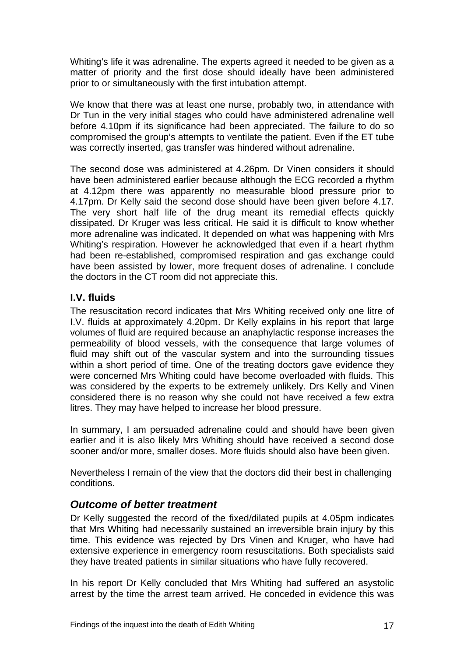<span id="page-18-0"></span>Whiting's life it was adrenaline. The experts agreed it needed to be given as a matter of priority and the first dose should ideally have been administered prior to or simultaneously with the first intubation attempt.

We know that there was at least one nurse, probably two, in attendance with Dr Tun in the very initial stages who could have administered adrenaline well before 4.10pm if its significance had been appreciated. The failure to do so compromised the group's attempts to ventilate the patient. Even if the ET tube was correctly inserted, gas transfer was hindered without adrenaline.

The second dose was administered at 4.26pm. Dr Vinen considers it should have been administered earlier because although the ECG recorded a rhythm at 4.12pm there was apparently no measurable blood pressure prior to 4.17pm. Dr Kelly said the second dose should have been given before 4.17. The very short half life of the drug meant its remedial effects quickly dissipated. Dr Kruger was less critical. He said it is difficult to know whether more adrenaline was indicated. It depended on what was happening with Mrs Whiting's respiration. However he acknowledged that even if a heart rhythm had been re-established, compromised respiration and gas exchange could have been assisted by lower, more frequent doses of adrenaline. I conclude the doctors in the CT room did not appreciate this.

### **I.V. fluids**

The resuscitation record indicates that Mrs Whiting received only one litre of I.V. fluids at approximately 4.20pm. Dr Kelly explains in his report that large volumes of fluid are required because an anaphylactic response increases the permeability of blood vessels, with the consequence that large volumes of fluid may shift out of the vascular system and into the surrounding tissues within a short period of time. One of the treating doctors gave evidence they were concerned Mrs Whiting could have become overloaded with fluids. This was considered by the experts to be extremely unlikely. Drs Kelly and Vinen considered there is no reason why she could not have received a few extra litres. They may have helped to increase her blood pressure.

In summary, I am persuaded adrenaline could and should have been given earlier and it is also likely Mrs Whiting should have received a second dose sooner and/or more, smaller doses. More fluids should also have been given.

Nevertheless I remain of the view that the doctors did their best in challenging conditions.

# *Outcome of better treatment*

Dr Kelly suggested the record of the fixed/dilated pupils at 4.05pm indicates that Mrs Whiting had necessarily sustained an irreversible brain injury by this time. This evidence was rejected by Drs Vinen and Kruger, who have had extensive experience in emergency room resuscitations. Both specialists said they have treated patients in similar situations who have fully recovered.

In his report Dr Kelly concluded that Mrs Whiting had suffered an asystolic arrest by the time the arrest team arrived. He conceded in evidence this was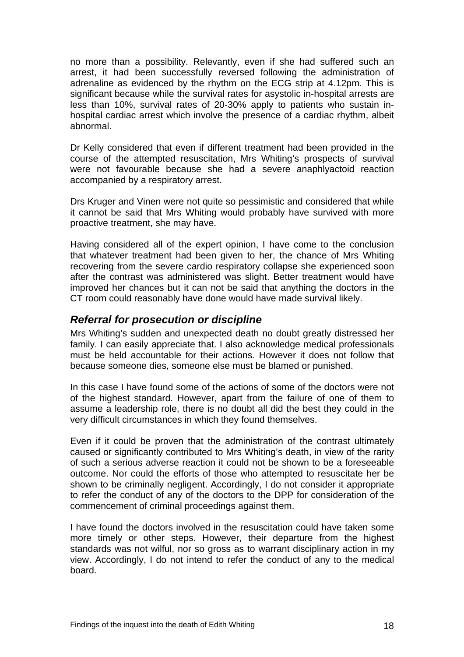<span id="page-19-0"></span>no more than a possibility. Relevantly, even if she had suffered such an arrest, it had been successfully reversed following the administration of adrenaline as evidenced by the rhythm on the ECG strip at 4.12pm. This is significant because while the survival rates for asystolic in-hospital arrests are less than 10%, survival rates of 20-30% apply to patients who sustain inhospital cardiac arrest which involve the presence of a cardiac rhythm, albeit abnormal.

Dr Kelly considered that even if different treatment had been provided in the course of the attempted resuscitation, Mrs Whiting's prospects of survival were not favourable because she had a severe anaphlyactoid reaction accompanied by a respiratory arrest.

Drs Kruger and Vinen were not quite so pessimistic and considered that while it cannot be said that Mrs Whiting would probably have survived with more proactive treatment, she may have.

Having considered all of the expert opinion, I have come to the conclusion that whatever treatment had been given to her, the chance of Mrs Whiting recovering from the severe cardio respiratory collapse she experienced soon after the contrast was administered was slight. Better treatment would have improved her chances but it can not be said that anything the doctors in the CT room could reasonably have done would have made survival likely.

# *Referral for prosecution or discipline*

Mrs Whiting's sudden and unexpected death no doubt greatly distressed her family. I can easily appreciate that. I also acknowledge medical professionals must be held accountable for their actions. However it does not follow that because someone dies, someone else must be blamed or punished.

In this case I have found some of the actions of some of the doctors were not of the highest standard. However, apart from the failure of one of them to assume a leadership role, there is no doubt all did the best they could in the very difficult circumstances in which they found themselves.

Even if it could be proven that the administration of the contrast ultimately caused or significantly contributed to Mrs Whiting's death, in view of the rarity of such a serious adverse reaction it could not be shown to be a foreseeable outcome. Nor could the efforts of those who attempted to resuscitate her be shown to be criminally negligent. Accordingly, I do not consider it appropriate to refer the conduct of any of the doctors to the DPP for consideration of the commencement of criminal proceedings against them.

I have found the doctors involved in the resuscitation could have taken some more timely or other steps. However, their departure from the highest standards was not wilful, nor so gross as to warrant disciplinary action in my view. Accordingly, I do not intend to refer the conduct of any to the medical board.